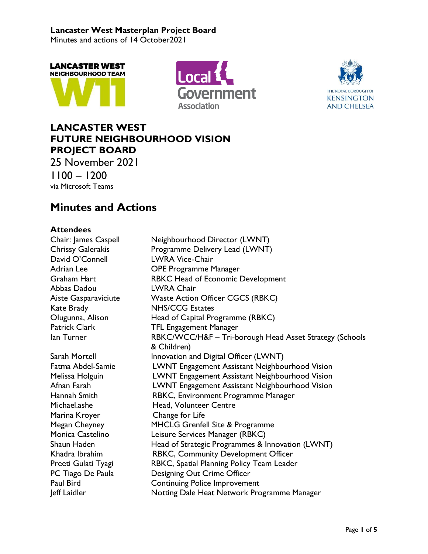Minutes and actions of 14 October2021







# **LANCASTER WEST FUTURE NEIGHBOURHOOD VISION PROJECT BOARD**

25 November 2021 1100 – 1200 via Microsoft Teams

# **Minutes and Actions**

# **Attendees**

| Chair: James Caspell     | Neighbourhood Director (LWNT)                           |
|--------------------------|---------------------------------------------------------|
| <b>Chrissy Galerakis</b> | Programme Delivery Lead (LWNT)                          |
| David O'Connell          | <b>LWRA Vice-Chair</b>                                  |
| Adrian Lee               | <b>OPE Programme Manager</b>                            |
| Graham Hart              | RBKC Head of Economic Development                       |
| Abbas Dadou              | <b>LWRA Chair</b>                                       |
| Aiste Gasparaviciute     | <b>Waste Action Officer CGCS (RBKC)</b>                 |
| Kate Brady               | <b>NHS/CCG Estates</b>                                  |
| Olugunna, Alison         | Head of Capital Programme (RBKC)                        |
| Patrick Clark            | <b>TFL Engagement Manager</b>                           |
| lan Turner               | RBKC/WCC/H&F - Tri-borough Head Asset Strategy (Schools |
|                          | & Children)                                             |
| Sarah Mortell            | Innovation and Digital Officer (LWNT)                   |
| Fatma Abdel-Samie        | LWNT Engagement Assistant Neighbourhood Vision          |
| Melissa Holguin          | LWNT Engagement Assistant Neighbourhood Vision          |
| Afnan Farah              | LWNT Engagement Assistant Neighbourhood Vision          |
| Hannah Smith             | RBKC, Environment Programme Manager                     |
| Michael.ashe             | Head, Volunteer Centre                                  |
| Marina Kroyer            | Change for Life                                         |
| Megan Cheyney            | MHCLG Grenfell Site & Programme                         |
| Monica Castelino         | Leisure Services Manager (RBKC)                         |
| Shaun Haden              | Head of Strategic Programmes & Innovation (LWNT)        |
| Khadra Ibrahim           | RBKC, Community Development Officer                     |
| Preeti Gulati Tyagi      | RBKC, Spatial Planning Policy Team Leader               |
| PC Tiago De Paula        | Designing Out Crime Officer                             |
| Paul Bird                | <b>Continuing Police Improvement</b>                    |
| Jeff Laidler             | Notting Dale Heat Network Programme Manager             |
|                          |                                                         |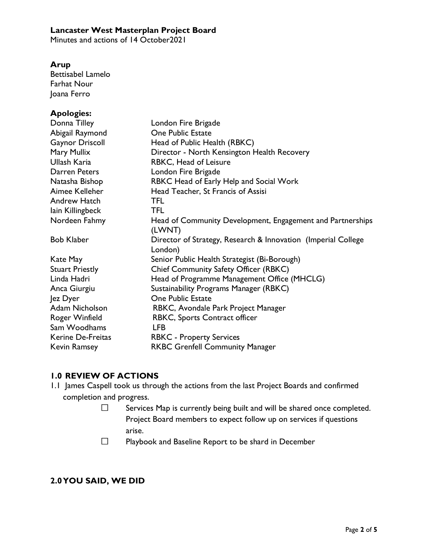Minutes and actions of 14 October 2021

#### **Arup**

Bettisabel Lamelo Farhat Nour Joana Ferro

#### **Apologies:**

| Donna Tilley           | London Fire Brigade                                           |
|------------------------|---------------------------------------------------------------|
| Abigail Raymond        | One Public Estate                                             |
| <b>Gaynor Driscoll</b> | Head of Public Health (RBKC)                                  |
| Mary Mullix            | Director - North Kensington Health Recovery                   |
| Ullash Karia           | RBKC, Head of Leisure                                         |
| Darren Peters          | London Fire Brigade                                           |
| Natasha Bishop         | RBKC Head of Early Help and Social Work                       |
| Aimee Kelleher         | Head Teacher, St Francis of Assisi                            |
| Andrew Hatch           | <b>TFL</b>                                                    |
| lain Killingbeck       | <b>TFL</b>                                                    |
| Nordeen Fahmy          | Head of Community Development, Engagement and Partnerships    |
|                        | (LWNT)                                                        |
| <b>Bob Klaber</b>      | Director of Strategy, Research & Innovation (Imperial College |
|                        | London)                                                       |
| Kate May               | Senior Public Health Strategist (Bi-Borough)                  |
| <b>Stuart Priestly</b> | <b>Chief Community Safety Officer (RBKC)</b>                  |
| Linda Hadri            | Head of Programme Management Office (MHCLG)                   |
| Anca Giurgiu           | Sustainability Programs Manager (RBKC)                        |
| Jez Dyer               | <b>One Public Estate</b>                                      |
| Adam Nicholson         | RBKC, Avondale Park Project Manager                           |
| Roger Winfield         | RBKC, Sports Contract officer                                 |
| Sam Woodhams           | <b>LFB</b>                                                    |
| Kerine De-Freitas      | <b>RBKC - Property Services</b>                               |
| <b>Kevin Ramsey</b>    | <b>RKBC Grenfell Community Manager</b>                        |

#### **1.0 REVIEW OF ACTIONS**

- 1.1 James Caspell took us through the actions from the last Project Boards and confirmed completion and progress.
	- $\Box$ Services Map is currently being built and will be shared once completed. Project Board members to expect follow up on services if questions arise.
	- $\Box$ Playbook and Baseline Report to be shard in December

#### **2.0YOU SAID, WE DID**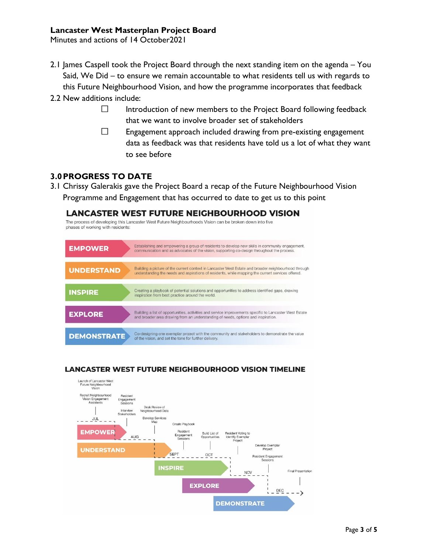Minutes and actions of 14 October2021

- 2.1 James Caspell took the Project Board through the next standing item on the agenda You Said, We Did – to ensure we remain accountable to what residents tell us with regards to this Future Neighbourhood Vision, and how the programme incorporates that feedback
- 2.2 New additions include:
	- П Introduction of new members to the Project Board following feedback that we want to involve broader set of stakeholders
	- $\Box$ Engagement approach included drawing from pre-existing engagement data as feedback was that residents have told us a lot of what they want to see before

#### **3.0PROGRESS TO DATE**

3.1 Chrissy Galerakis gave the Project Board a recap of the Future Neighbourhood Vision Programme and Engagement that has occurred to date to get us to this point

**LANCASTER WEST FUTURE NEIGHBOURHOOD VISION** The process of developing this Lancaster West Future Neighbourhoods Vision can be broken down into five phases of working with residents: Establishing and empowering a group of residents to develop new skills in community engagement, **EMPOWER** communication and as advocates of the vision, supporting co-design throughout the proces Building a picture of the current context in Lancaster West Estate and broader neighbourhood through **UNDERSTAND** understanding the needs and aspirations of residents, while mapping the current services offered. Creating a playbook of potential solutions and opportunities to address identified gaps, drawing **INSPIRE** inspiration from best practice around the world. Building a list of opportunities, activities and service improvements specific to Lancaster West Estate **EXPLORE** and broader area drawing from an understanding of needs, options and inspiration. Co-designing one exemplar project with the community and stakeholders to demonstrate the value of the vision, and set the tone for further delivery. **DEMONSTRATE** 

#### **LANCASTER WEST FUTURE NEIGHBOURHOOD VISION TIMELINE**

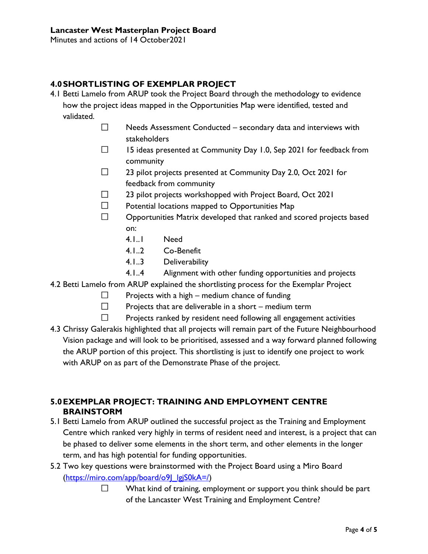Minutes and actions of 14 October2021

### **4.0SHORTLISTING OF EXEMPLAR PROJECT**

- 4.1 Betti Lamelo from ARUP took the Project Board through the methodology to evidence how the project ideas mapped in the Opportunities Map were identified, tested and validated.
	- $\Box$ Needs Assessment Conducted – secondary data and interviews with stakeholders
	- $\Box$ 15 ideas presented at Community Day 1.0, Sep 2021 for feedback from community
	- $\Box$ 23 pilot projects presented at Community Day 2.0, Oct 2021 for feedback from community
	- $\Box$ 23 pilot projects workshopped with Project Board, Oct 2021
	- $\Box$ Potential locations mapped to Opportunities Map
	- $\Box$ Opportunities Matrix developed that ranked and scored projects based on:
		- 4.1..1 Need
		- 4.1..2 Co-Benefit
		- 4.1..3 Deliverability
		- 4.1..4 Alignment with other funding opportunities and projects
- 4.2 Betti Lamelo from ARUP explained the shortlisting process for the Exemplar Project
	- $\Box$ Projects with a high – medium chance of funding
	- $\Box$ Projects that are deliverable in a short – medium term
	- $\Box$ Projects ranked by resident need following all engagement activities
- 4.3 Chrissy Galerakis highlighted that all projects will remain part of the Future Neighbourhood Vision package and will look to be prioritised, assessed and a way forward planned following the ARUP portion of this project. This shortlisting is just to identify one project to work with ARUP on as part of the Demonstrate Phase of the project.

## **5.0EXEMPLAR PROJECT: TRAINING AND EMPLOYMENT CENTRE BRAINSTORM**

- 5.1 Betti Lamelo from ARUP outlined the successful project as the Training and Employment Centre which ranked very highly in terms of resident need and interest, is a project that can be phased to deliver some elements in the short term, and other elements in the longer term, and has high potential for funding opportunities.
- 5.2 Two key questions were brainstormed with the Project Board using a Miro Board [\(https://miro.com/app/board/o9J\\_lgjS0kA=/\)](https://miro.com/app/board/o9J_lgjS0kA=/)
	- $\Box$ What kind of training, employment or support you think should be part of the Lancaster West Training and Employment Centre?